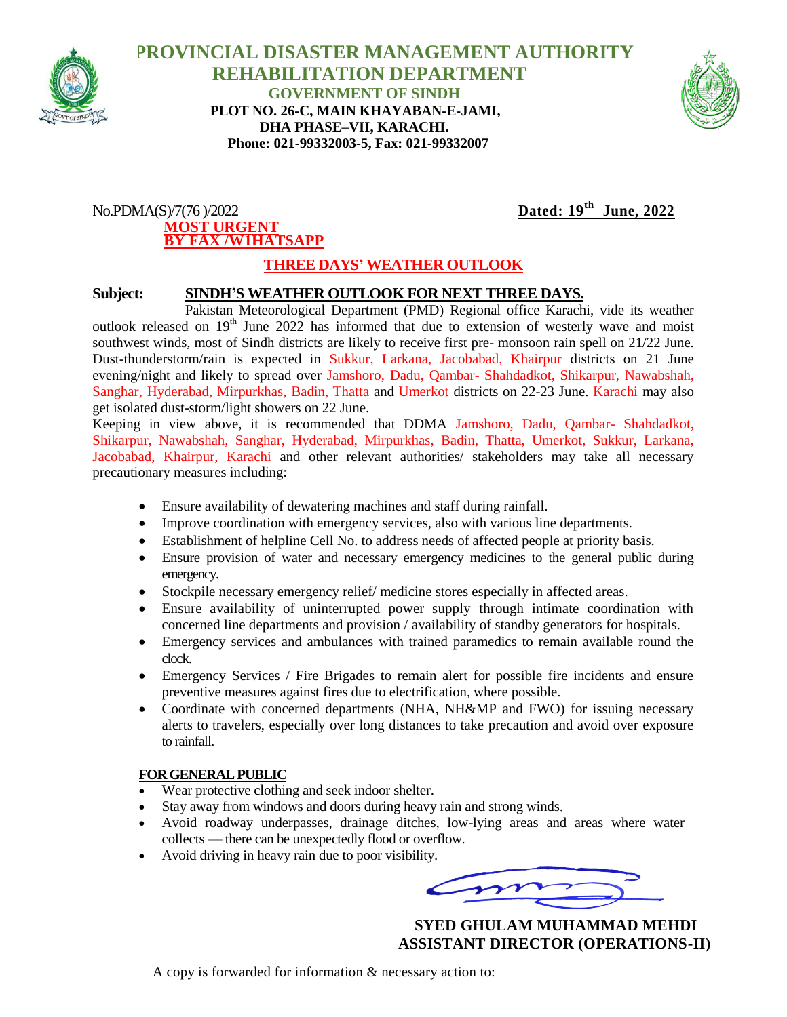

### **PROVINCIAL DISASTER MANAGEMENT AUTHORITY REHABILITATION DEPARTMENT GOVERNMENT OF SINDH PLOT NO. 26-C, MAIN KHAYABAN-E-JAMI, DHA PHASE–VII, KARACHI. Phone: 021-99332003-5, Fax: 021-99332007**



#### $No.PDMA(S)/7(76)/2022$ **MOST URGENT BY FAX /W1HATSAPP**

# Dated:  $19^{th}$  June, 2022

# **THREE DAYS' WEATHER OUTLOOK**

### **Subject: SINDH'S WEATHER OUTLOOK FOR NEXT THREE DAYS.**

Pakistan Meteorological Department (PMD) Regional office Karachi, vide its weather outlook released on  $19<sup>th</sup>$  June 2022 has informed that due to extension of westerly wave and moist southwest winds, most of Sindh districts are likely to receive first pre- monsoon rain spell on 21/22 June. Dust-thunderstorm/rain is expected in Sukkur, Larkana, Jacobabad, Khairpur districts on 21 June evening/night and likely to spread over Jamshoro, Dadu, Qambar- Shahdadkot, Shikarpur, Nawabshah, Sanghar, Hyderabad, Mirpurkhas, Badin, Thatta and Umerkot districts on 22-23 June. Karachi may also get isolated dust-storm/light showers on 22 June.

Keeping in view above, it is recommended that DDMA Jamshoro, Dadu, Qambar- Shahdadkot, Shikarpur, Nawabshah, Sanghar, Hyderabad, Mirpurkhas, Badin, Thatta, Umerkot, Sukkur, Larkana, Jacobabad, Khairpur, Karachi and other relevant authorities/ stakeholders may take all necessary precautionary measures including:

- Ensure availability of dewatering machines and staff during rainfall.
- Improve coordination with emergency services, also with various line departments.
- Establishment of helpline Cell No. to address needs of affected people at priority basis.
- Ensure provision of water and necessary emergency medicines to the general public during emergency.
- Stockpile necessary emergency relief/ medicine stores especially in affected areas.
- Ensure availability of uninterrupted power supply through intimate coordination with concerned line departments and provision / availability of standby generators for hospitals.
- Emergency services and ambulances with trained paramedics to remain available round the clock.
- Emergency Services / Fire Brigades to remain alert for possible fire incidents and ensure preventive measures against fires due to electrification, where possible.
- Coordinate with concerned departments (NHA, NH&MP and FWO) for issuing necessary alerts to travelers, especially over long distances to take precaution and avoid over exposure to rainfall.

#### **FOR GENERAL PUBLIC**

- Wear protective clothing and seek indoor shelter.
- Stay away from windows and doors during heavy rain and strong winds.
- Avoid roadway underpasses, drainage ditches, low-lying areas and areas where water collects — there can be unexpectedly flood or overflow.
- Avoid driving in heavy rain due to poor visibility.

 **SYED GHULAM MUHAMMAD MEHDI ASSISTANT DIRECTOR (OPERATIONS-II)**

A copy is forwarded for information & necessary action to: